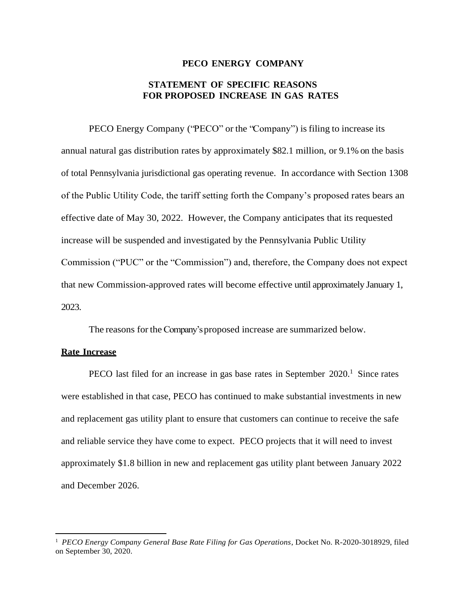## **PECO ENERGY COMPANY**

# **STATEMENT OF SPECIFIC REASONS FOR PROPOSED INCREASE IN GAS RATES**

PECO Energy Company ("PECO" or the "Company") is filing to increase its annual natural gas distribution rates by approximately \$82.1 million, or 9.1% on the basis of total Pennsylvania jurisdictional gas operating revenue. In accordance with Section 1308 of the Public Utility Code, the tariff setting forth the Company's proposed rates bears an effective date of May 30, 2022. However, the Company anticipates that its requested increase will be suspended and investigated by the Pennsylvania Public Utility Commission ("PUC" or the "Commission") and, therefore, the Company does not expect that new Commission-approved rates will become effective until approximately January 1, 2023.

The reasons for the Company's proposed increase are summarized below.

## **Rate Increase**

PECO last filed for an increase in gas base rates in September 2020.<sup>1</sup> Since rates were established in that case, PECO has continued to make substantial investments in new and replacement gas utility plant to ensure that customers can continue to receive the safe and reliable service they have come to expect. PECO projects that it will need to invest approximately \$1.8 billion in new and replacement gas utility plant between January 2022 and December 2026.

<sup>&</sup>lt;sup>1</sup> PECO Energy Company General Base Rate Filing for Gas Operations, Docket No. R-2020-3018929, filed on September 30, 2020.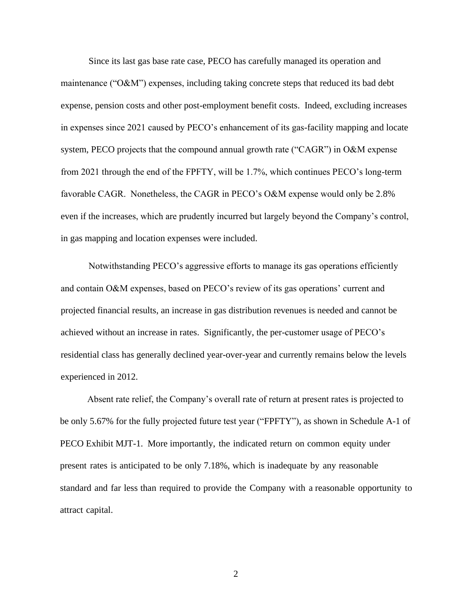Since its last gas base rate case, PECO has carefully managed its operation and maintenance ("O&M") expenses, including taking concrete steps that reduced its bad debt expense, pension costs and other post-employment benefit costs. Indeed, excluding increases in expenses since 2021 caused by PECO's enhancement of its gas-facility mapping and locate system, PECO projects that the compound annual growth rate ("CAGR") in O&M expense from 2021 through the end of the FPFTY, will be 1.7%, which continues PECO's long-term favorable CAGR. Nonetheless, the CAGR in PECO's O&M expense would only be 2.8% even if the increases, which are prudently incurred but largely beyond the Company's control, in gas mapping and location expenses were included.

Notwithstanding PECO's aggressive efforts to manage its gas operations efficiently and contain O&M expenses, based on PECO's review of its gas operations' current and projected financial results, an increase in gas distribution revenues is needed and cannot be achieved without an increase in rates. Significantly, the per-customer usage of PECO's residential class has generally declined year-over-year and currently remains below the levels experienced in 2012.

Absent rate relief, the Company's overall rate of return at present rates is projected to be only 5.67% for the fully projected future test year ("FPFTY"), as shown in Schedule A-1 of PECO Exhibit MJT-1. More importantly, the indicated return on common equity under present rates is anticipated to be only 7.18%, which is inadequate by any reasonable standard and far less than required to provide the Company with a reasonable opportunity to attract capital.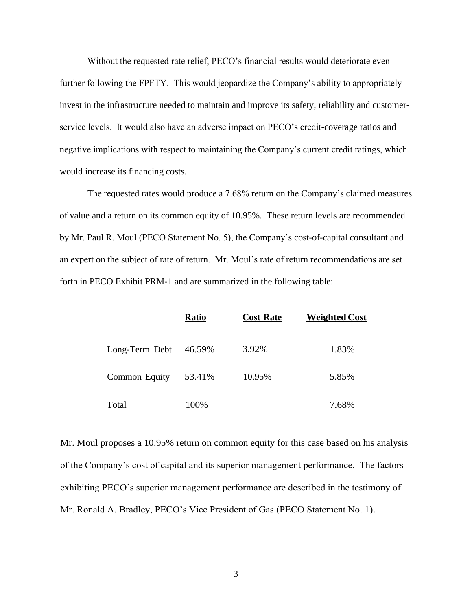Without the requested rate relief, PECO's financial results would deteriorate even further following the FPFTY. This would jeopardize the Company's ability to appropriately invest in the infrastructure needed to maintain and improve its safety, reliability and customerservice levels. It would also have an adverse impact on PECO's credit-coverage ratios and negative implications with respect to maintaining the Company's current credit ratings, which would increase its financing costs.

The requested rates would produce a 7.68% return on the Company's claimed measures of value and a return on its common equity of 10.95%. These return levels are recommended by Mr. Paul R. Moul (PECO Statement No. 5), the Company's cost-of-capital consultant and an expert on the subject of rate of return. Mr. Moul's rate of return recommendations are set forth in PECO Exhibit PRM-1 and are summarized in the following table:

|                | <b>Ratio</b> | <b>Cost Rate</b> | <b>Weighted Cost</b> |
|----------------|--------------|------------------|----------------------|
| Long-Term Debt | 46.59%       | 3.92%            | 1.83%                |
| Common Equity  | 53.41%       | 10.95%           | 5.85%                |
| Total          | 100%         |                  | 7.68%                |

Mr. Moul proposes a 10.95% return on common equity for this case based on his analysis of the Company's cost of capital and its superior management performance. The factors exhibiting PECO's superior management performance are described in the testimony of Mr. Ronald A. Bradley, PECO's Vice President of Gas (PECO Statement No. 1).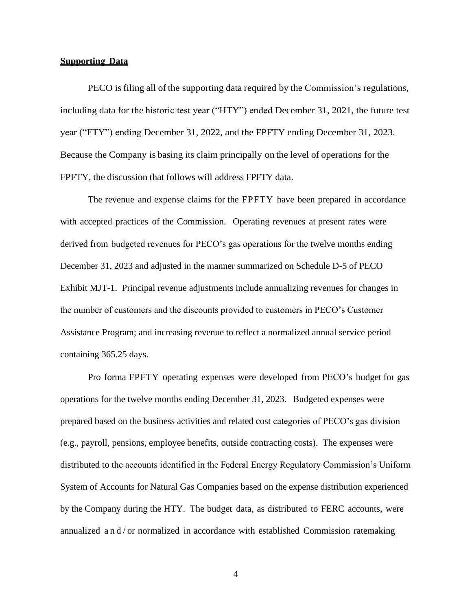#### **Supporting Data**

PECO isfiling all of the supporting data required by the Commission's regulations, including data for the historic test year ("HTY") ended December 31, 2021, the future test year ("FTY") ending December 31, 2022, and the FPFTY ending December 31, 2023. Because the Company is basing its claim principally on the level of operations for the FPFTY, the discussion that follows will address FPFTY data.

The revenue and expense claims for the FPFTY have been prepared in accordance with accepted practices of the Commission. Operating revenues at present rates were derived from budgeted revenues for PECO's gas operations for the twelve months ending December 31, 2023 and adjusted in the manner summarized on Schedule D-5 of PECO Exhibit MJT-1. Principal revenue adjustments include annualizing revenues for changes in the number of customers and the discounts provided to customers in PECO's Customer Assistance Program; and increasing revenue to reflect a normalized annual service period containing 365.25 days.

Pro forma FPFTY operating expenses were developed from PECO's budget for gas operations for the twelve months ending December 31, 2023. Budgeted expenses were prepared based on the business activities and related cost categories of PECO's gas division (e.g., payroll, pensions, employee benefits, outside contracting costs). The expenses were distributed to the accounts identified in the Federal Energy Regulatory Commission's Uniform System of Accounts for Natural Gas Companies based on the expense distribution experienced by the Company during the HTY. The budget data, as distributed to FERC accounts, were annualized a n  $d$  or normalized in accordance with established Commission ratemaking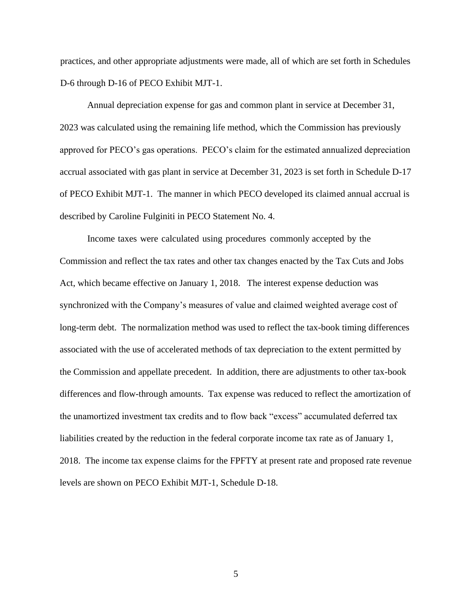practices, and other appropriate adjustments were made, all of which are set forth in Schedules D-6 through D-16 of PECO Exhibit MJT-1.

Annual depreciation expense for gas and common plant in service at December 31, 2023 was calculated using the remaining life method, which the Commission has previously approved for PECO's gas operations. PECO's claim for the estimated annualized depreciation accrual associated with gas plant in service at December 31, 2023 is set forth in Schedule D-17 of PECO Exhibit MJT-1. The manner in which PECO developed its claimed annual accrual is described by Caroline Fulginiti in PECO Statement No. 4.

Income taxes were calculated using procedures commonly accepted by the Commission and reflect the tax rates and other tax changes enacted by the Tax Cuts and Jobs Act, which became effective on January 1, 2018. The interest expense deduction was synchronized with the Company's measures of value and claimed weighted average cost of long-term debt. The normalization method was used to reflect the tax-book timing differences associated with the use of accelerated methods of tax depreciation to the extent permitted by the Commission and appellate precedent. In addition, there are adjustments to other tax-book differences and flow-through amounts. Tax expense was reduced to reflect the amortization of the unamortized investment tax credits and to flow back "excess" accumulated deferred tax liabilities created by the reduction in the federal corporate income tax rate as of January 1, 2018. The income tax expense claims for the FPFTY at present rate and proposed rate revenue levels are shown on PECO Exhibit MJT-1, Schedule D-18.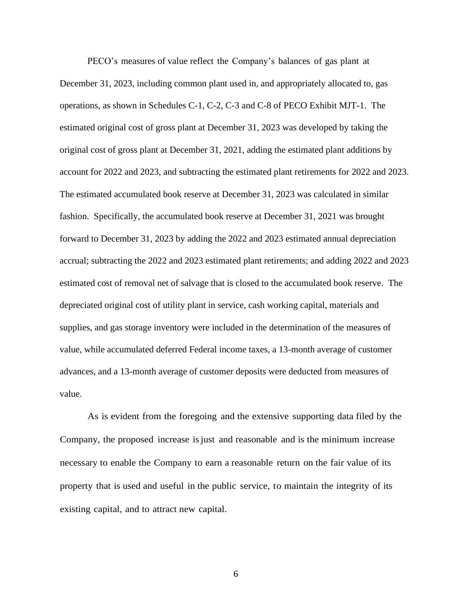PECO's measures of value reflect the Company's balances of gas plant at December 31, 2023, including common plant used in, and appropriately allocated to, gas operations, as shown in Schedules C-1, C-2, C-3 and C-8 of PECO Exhibit MJT-1. The estimated original cost of gross plant at December 31, 2023 was developed by taking the original cost of gross plant at December 31, 2021, adding the estimated plant additions by account for 2022 and 2023, and subtracting the estimated plant retirements for 2022 and 2023. The estimated accumulated book reserve at December 31, 2023 was calculated in similar fashion. Specifically, the accumulated book reserve at December 31, 2021 was brought forward to December 31, 2023 by adding the 2022 and 2023 estimated annual depreciation accrual; subtracting the 2022 and 2023 estimated plant retirements; and adding 2022 and 2023 estimated cost of removal net of salvage that is closed to the accumulated book reserve. The depreciated original cost of utility plant in service, cash working capital, materials and supplies, and gas storage inventory were included in the determination of the measures of value, while accumulated deferred Federal income taxes, a 13-month average of customer advances, and a 13-month average of customer deposits were deducted from measures of value.

As is evident from the foregoing and the extensive supporting data filed by the Company, the proposed increase isjust and reasonable and is the minimum increase necessary to enable the Company to earn a reasonable return on the fair value of its property that is used and useful in the public service, to maintain the integrity of its existing capital, and to attract new capital.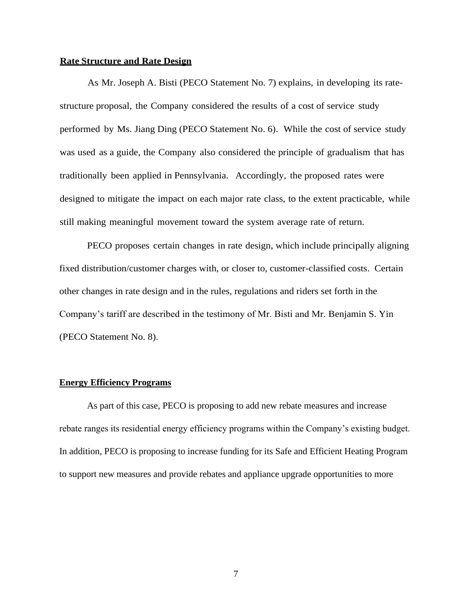#### **Rate Structure and Rate Design**

As Mr. Joseph A. Bisti (PECO Statement No. 7) explains, in developing its ratestructure proposal, the Company considered the results of a cost of service study performed by Ms. Jiang Ding (PECO Statement No. 6). While the cost of service study was used as a guide, the Company also considered the principle of gradualism that has traditionally been applied in Pennsylvania. Accordingly, the proposed rates were designed to mitigate the impact on each major rate class, to the extent practicable, while still making meaningful movement toward the system average rate of return.

PECO proposes certain changes in rate design, which include principally aligning fixed distribution/customer charges with, or closer to, customer-classified costs. Certain other changes in rate design and in the rules, regulations and riders set forth in the Company's tariff are described in the testimony of Mr. Bisti and Mr. Benjamin S. Yin (PECO Statement No. 8).

#### **Energy Efficiency Programs**

As part of this case, PECO is proposing to add new rebate measures and increase rebate ranges its residential energy efficiency programs within the Company's existing budget. In addition, PECO is proposing to increase funding for its Safe and Efficient Heating Program to support new measures and provide rebates and appliance upgrade opportunities to more